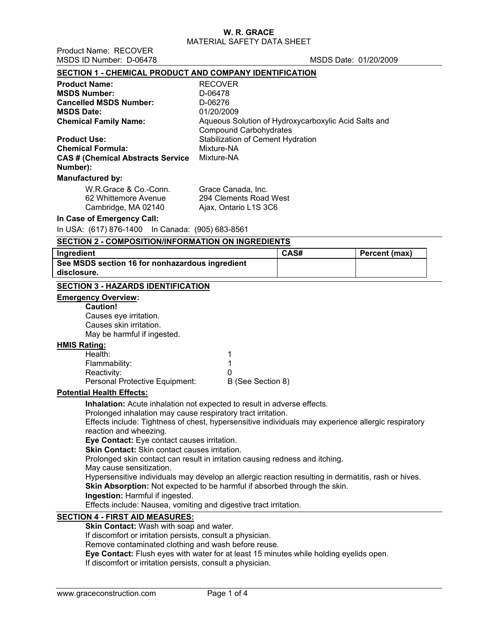Product Name: RECOVER

| MSDS ID Number: D-06478                                                                             |                                                      | MSDS Date: 01/20/2009 |               |
|-----------------------------------------------------------------------------------------------------|------------------------------------------------------|-----------------------|---------------|
| <b>SECTION 1 - CHEMICAL PRODUCT AND COMPANY IDENTIFICATION</b>                                      |                                                      |                       |               |
| <b>Product Name:</b>                                                                                | <b>RECOVER</b>                                       |                       |               |
| <b>MSDS Number:</b>                                                                                 | D-06478                                              |                       |               |
| <b>Cancelled MSDS Number:</b>                                                                       | D-06276                                              |                       |               |
| <b>MSDS Date:</b>                                                                                   | 01/20/2009                                           |                       |               |
| <b>Chemical Family Name:</b>                                                                        | Aqueous Solution of Hydroxycarboxylic Acid Salts and |                       |               |
|                                                                                                     | <b>Compound Carbohydrates</b>                        |                       |               |
| <b>Product Use:</b>                                                                                 | Stabilization of Cement Hydration                    |                       |               |
| <b>Chemical Formula:</b>                                                                            | Mixture-NA                                           |                       |               |
| <b>CAS # (Chemical Abstracts Service</b><br>Number):                                                | Mixture-NA                                           |                       |               |
|                                                                                                     |                                                      |                       |               |
| <b>Manufactured by:</b>                                                                             |                                                      |                       |               |
| W.R.Grace & Co.-Conn.                                                                               | Grace Canada, Inc.                                   |                       |               |
| 62 Whittemore Avenue                                                                                | 294 Clements Road West                               |                       |               |
| Cambridge, MA 02140                                                                                 | Ajax, Ontario L1S 3C6                                |                       |               |
| In Case of Emergency Call:                                                                          |                                                      |                       |               |
| In USA: (617) 876-1400                                                                              | In Canada: (905) 683-8561                            |                       |               |
| <b>SECTION 2 - COMPOSITION/INFORMATION ON INGREDIENTS</b>                                           |                                                      |                       |               |
| Ingredient                                                                                          |                                                      | CAS#                  | Percent (max) |
| See MSDS section 16 for nonhazardous ingredient                                                     |                                                      |                       |               |
| disclosure.                                                                                         |                                                      |                       |               |
| <b>SECTION 3 - HAZARDS IDENTIFICATION</b>                                                           |                                                      |                       |               |
| <b>Emergency Overview:</b>                                                                          |                                                      |                       |               |
| <b>Caution!</b>                                                                                     |                                                      |                       |               |
| Causes eye irritation.                                                                              |                                                      |                       |               |
| Causes skin irritation.                                                                             |                                                      |                       |               |
| May be harmful if ingested.                                                                         |                                                      |                       |               |
| <b>HMIS Rating:</b>                                                                                 |                                                      |                       |               |
| Health:                                                                                             | 1                                                    |                       |               |
| Flammability:                                                                                       | 1                                                    |                       |               |
| Reactivity:                                                                                         | 0                                                    |                       |               |
| Personal Protective Equipment:                                                                      | B (See Section 8)                                    |                       |               |
| <b>Potential Health Effects:</b>                                                                    |                                                      |                       |               |
| Inhalation: Acute inhalation not expected to result in adverse effects.                             |                                                      |                       |               |
| Prolonged inhalation may cause respiratory tract irritation.                                        |                                                      |                       |               |
| Effects include: Tightness of chest, hypersensitive individuals may experience allergic respiratory |                                                      |                       |               |
| reaction and wheezing.                                                                              |                                                      |                       |               |
|                                                                                                     |                                                      |                       |               |
| Eye Contact: Eye contact causes irritation.<br>Skin Contact: Skin contact causes irritation.        |                                                      |                       |               |

Prolonged skin contact can result in irritation causing redness and itching.

May cause sensitization.

Hypersensitive individuals may develop an allergic reaction resulting in dermatitis, rash or hives.

**Skin Absorption:** Not expected to be harmful if absorbed through the skin.

**Ingestion:** Harmful if ingested.

Effects include: Nausea, vomiting and digestive tract irritation.

# **SECTION 4 - FIRST AID MEASURES:**

**Skin Contact: Wash with soap and water.** 

If discomfort or irritation persists, consult a physician.

Remove contaminated clothing and wash before reuse.

**Eye Contact:** Flush eyes with water for at least 15 minutes while holding eyelids open.

If discomfort or irritation persists, consult a physician.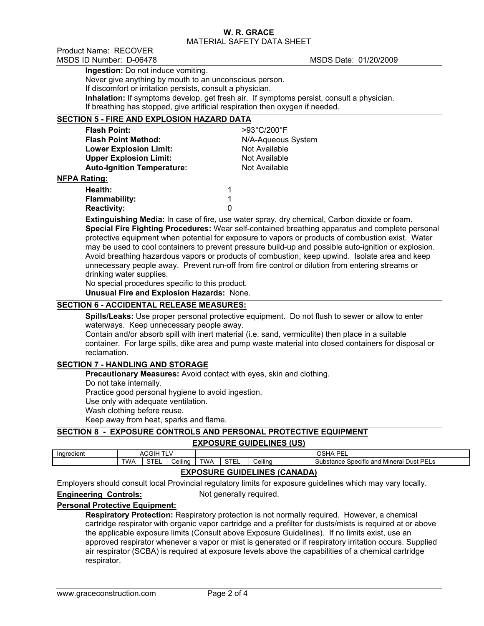Product Name: RECOVER MSDS ID Number: D-06478 MSDS Date: 01/20/2009

**NFPA** 

**Ingestion:** Do not induce vomiting.

Never give anything by mouth to an unconscious person.

If discomfort or irritation persists, consult a physician.

**Inhalation:** If symptoms develop, get fresh air. If symptoms persist, consult a physician.

If breathing has stopped, give artificial respiration then oxygen if needed.

# **SECTION 5 - FIRE AND EXPLOSION HAZARD DATA**

| <b>Flash Point:</b>               | >93°C/200°F        |
|-----------------------------------|--------------------|
| <b>Flash Point Method:</b>        | N/A-Aqueous System |
| <b>Lower Explosion Limit:</b>     | Not Available      |
| <b>Upper Explosion Limit:</b>     | Not Available      |
| <b>Auto-Ignition Temperature:</b> | Not Available      |
| <b>Rating:</b>                    |                    |
| Health:                           | 1                  |
| <b>Flammability:</b>              | 1                  |
| <b>Reactivity:</b>                | 0                  |

**Extinguishing Media:** In case of fire, use water spray, dry chemical, Carbon dioxide or foam. **Special Fire Fighting Procedures:** Wear self-contained breathing apparatus and complete personal protective equipment when potential for exposure to vapors or products of combustion exist. Water may be used to cool containers to prevent pressure build-up and possible auto-ignition or explosion. Avoid breathing hazardous vapors or products of combustion, keep upwind. Isolate area and keep unnecessary people away. Prevent run-off from fire control or dilution from entering streams or drinking water supplies.

No special procedures specific to this product.

**Unusual Fire and Explosion Hazards:** None.

# **SECTION 6 - ACCIDENTAL RELEASE MEASURES:**

**Spills/Leaks:** Use proper personal protective equipment. Do not flush to sewer or allow to enter waterways. Keep unnecessary people away.

Contain and/or absorb spill with inert material (i.e. sand, vermiculite) then place in a suitable container. For large spills, dike area and pump waste material into closed containers for disposal or reclamation.

### **SECTION 7 - HANDLING AND STORAGE**

**Precautionary Measures:** Avoid contact with eyes, skin and clothing.

Do not take internally.

Practice good personal hygiene to avoid ingestion.

Use only with adequate ventilation.

Wash clothing before reuse.

Keep away from heat, sparks and flame.

## **SECTION 8 - EXPOSURE CONTROLS AND PERSONAL PROTECTIVE EQUIPMENT**

### **EXPOSURE GUIDELINES (US)**

| Ingredient                          | ACGIH<br>- |                              |         |            |             |                                                                                           | OSHA<br><b>DEL</b> |  |  |  |
|-------------------------------------|------------|------------------------------|---------|------------|-------------|-------------------------------------------------------------------------------------------|--------------------|--|--|--|
|                                     | <b>TWA</b> | $\sim$ $\sim$ $\sim$<br>ᇰᆝᆮᄂ | Ceiling | <b>TWA</b> | <b>STEL</b> | Ceiling<br>Dust PE<br>Mineral<br>Specific and<br>Substance<br>ᆫᆫᇰ<br>$\ddot{\phantom{1}}$ |                    |  |  |  |
| <b>EVOORUDE CUIDELINER (CANADA)</b> |            |                              |         |            |             |                                                                                           |                    |  |  |  |

## **EXPOSURE GUIDELINES (CANADA)**

Employers should consult local Provincial regulatory limits for exposure guidelines which may vary locally.

**Engineering Controls:** Not generally required.

### **Personal Protective Equipment:**

**Respiratory Protection:** Respiratory protection is not normally required. However, a chemical cartridge respirator with organic vapor cartridge and a prefilter for dusts/mists is required at or above the applicable exposure limits (Consult above Exposure Guidelines). If no limits exist, use an approved respirator whenever a vapor or mist is generated or if respiratory irritation occurs. Supplied air respirator (SCBA) is required at exposure levels above the capabilities of a chemical cartridge respirator.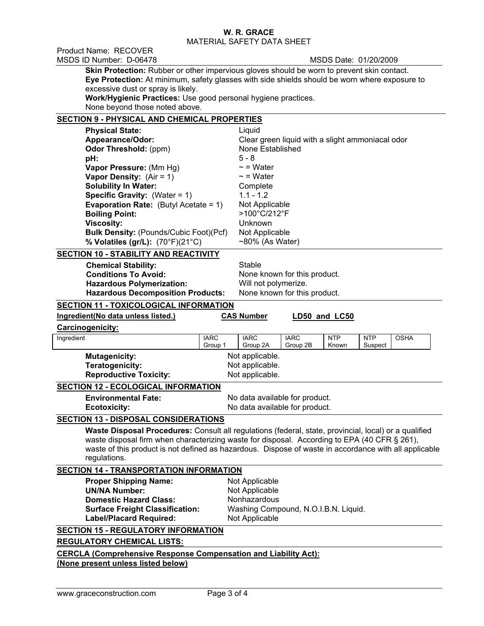Product Name: RECOVER MSDS ID Number: D-06478 MSDS Date: 01/20/2009

**Skin Protection:** Rubber or other impervious gloves should be worn to prevent skin contact. **Eye Protection:** At minimum, safety glasses with side shields should be worn where exposure to excessive dust or spray is likely.

**Work/Hygienic Practices:** Use good personal hygiene practices. None beyond those noted above.

## **SECTION 9 - PHYSICAL AND CHEMICAL PROPERTIES**

| <b>Physical State:</b>                          | Liquid                                           |
|-------------------------------------------------|--------------------------------------------------|
| Appearance/Odor:                                | Clear green liquid with a slight ammoniacal odor |
| <b>Odor Threshold: (ppm)</b>                    | None Established                                 |
| pH:                                             | $5 - 8$                                          |
| Vapor Pressure: (Mm Hg)                         | $\sim$ = Water                                   |
| <b>Vapor Density:</b> $(Air = 1)$               | $\sim$ = Water                                   |
| <b>Solubility In Water:</b>                     | Complete                                         |
| <b>Specific Gravity:</b> (Water = $1$ )         | $1.1 - 1.2$                                      |
| <b>Evaporation Rate:</b> (Butyl Acetate = $1$ ) | Not Applicable                                   |
| <b>Boiling Point:</b>                           | >100°C/212°F                                     |
| <b>Viscosity:</b>                               | Unknown                                          |
| <b>Bulk Density: (Pounds/Cubic Foot)(Pcf)</b>   | Not Applicable                                   |
| % Volatiles (gr/L): (70°F)(21°C)                | $~50\%$ (As Water)                               |
| <b>SECTION 10 - STABILITY AND REACTIVITY</b>    |                                                  |

**Chemical Stability:** Stable **Conditions To Avoid:** None known for this product. **Hazardous Polymerization:** Will not polymerize.<br>**Hazardous Decomposition Products:** None known for this product. **Hazardous Decomposition Products:** 

# **SECTION 11 - TOXICOLOGICAL INFORMATION**

| Ingredient(No data unless listed.)                                                                           |                                                                                                                                                                                                                                                                                                                | <b>CAS Number</b>                    |             | LD50 and LC50 |            |             |  |  |
|--------------------------------------------------------------------------------------------------------------|----------------------------------------------------------------------------------------------------------------------------------------------------------------------------------------------------------------------------------------------------------------------------------------------------------------|--------------------------------------|-------------|---------------|------------|-------------|--|--|
| <b>Carcinogenicity:</b>                                                                                      |                                                                                                                                                                                                                                                                                                                |                                      |             |               |            |             |  |  |
| Ingredient                                                                                                   | <b>IARC</b>                                                                                                                                                                                                                                                                                                    | <b>IARC</b>                          | <b>IARC</b> | <b>NTP</b>    | <b>NTP</b> | <b>OSHA</b> |  |  |
|                                                                                                              | Group 1                                                                                                                                                                                                                                                                                                        | Group 2A                             | Group 2B    | Known         | Suspect    |             |  |  |
|                                                                                                              | <b>Mutagenicity:</b><br>Not applicable.                                                                                                                                                                                                                                                                        |                                      |             |               |            |             |  |  |
|                                                                                                              | Teratogenicity:<br>Not applicable.                                                                                                                                                                                                                                                                             |                                      |             |               |            |             |  |  |
| <b>Reproductive Toxicity:</b>                                                                                |                                                                                                                                                                                                                                                                                                                | Not applicable.                      |             |               |            |             |  |  |
| <b>SECTION 12 - ECOLOGICAL INFORMATION</b>                                                                   |                                                                                                                                                                                                                                                                                                                |                                      |             |               |            |             |  |  |
| <b>Environmental Fate:</b>                                                                                   |                                                                                                                                                                                                                                                                                                                | No data available for product.       |             |               |            |             |  |  |
| <b>Ecotoxicity:</b>                                                                                          |                                                                                                                                                                                                                                                                                                                | No data available for product.       |             |               |            |             |  |  |
| <b>SECTION 13 - DISPOSAL CONSIDERATIONS</b>                                                                  |                                                                                                                                                                                                                                                                                                                |                                      |             |               |            |             |  |  |
| regulations.                                                                                                 | Waste Disposal Procedures: Consult all regulations (federal, state, provincial, local) or a qualified<br>waste disposal firm when characterizing waste for disposal. According to EPA (40 CFR § 261),<br>waste of this product is not defined as hazardous. Dispose of waste in accordance with all applicable |                                      |             |               |            |             |  |  |
| <b>SECTION 14 - TRANSPORTATION INFORMATION</b>                                                               |                                                                                                                                                                                                                                                                                                                |                                      |             |               |            |             |  |  |
| <b>Proper Shipping Name:</b><br><b>UN/NA Number:</b>                                                         |                                                                                                                                                                                                                                                                                                                | Not Applicable                       |             |               |            |             |  |  |
| <b>Domestic Hazard Class:</b>                                                                                |                                                                                                                                                                                                                                                                                                                | Not Applicable<br>Nonhazardous       |             |               |            |             |  |  |
| <b>Surface Freight Classification:</b>                                                                       |                                                                                                                                                                                                                                                                                                                | Washing Compound, N.O.I.B.N. Liquid. |             |               |            |             |  |  |
| <b>Label/Placard Required:</b>                                                                               |                                                                                                                                                                                                                                                                                                                | Not Applicable                       |             |               |            |             |  |  |
|                                                                                                              |                                                                                                                                                                                                                                                                                                                |                                      |             |               |            |             |  |  |
| <b>SECTION 15 - REGULATORY INFORMATION</b>                                                                   |                                                                                                                                                                                                                                                                                                                |                                      |             |               |            |             |  |  |
| <b>REGULATORY CHEMICAL LISTS:</b>                                                                            |                                                                                                                                                                                                                                                                                                                |                                      |             |               |            |             |  |  |
| <b>CERCLA (Comprehensive Response Compensation and Liability Act):</b><br>(None present unless listed below) |                                                                                                                                                                                                                                                                                                                |                                      |             |               |            |             |  |  |